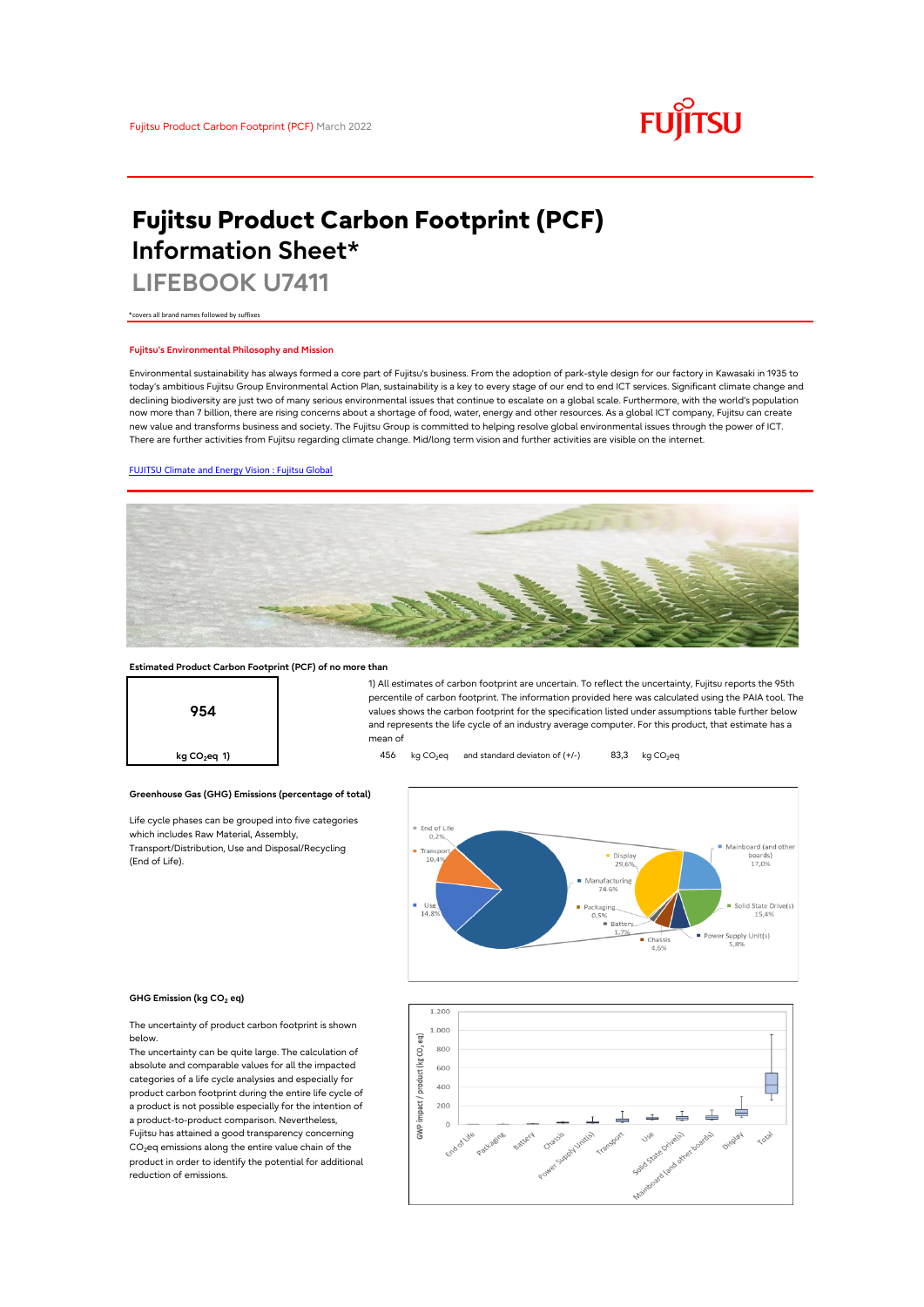

# **Fujitsu Product Carbon Footprint (PCF) Information Sheet\***

**LIFEBOOK U7411**

\*covers all brand names followed by suffixes

## **Fujitsu's Environmental Philosophy and Mission**

Environmental sustainability has always formed a core part of Fujitsu's business. From the adoption of park-style design for our factory in Kawasaki in 1935 to today's ambitious Fujitsu Group Environmental Action Plan, sustainability is a key to every stage of our end to end ICT services. Significant climate change and declining biodiversity are just two of many serious environmental issues that continue to escalate on a global scale. Furthermore, with the world's population now more than 7 billion, there are rising concerns about a shortage of food, water, energy and other resources. As a global ICT company, Fujitsu can create new value and transforms business and society. The Fujitsu Group is committed to helping resolve global environmental issues through the power of ICT. There are further activities from Fujitsu regarding climate change. Mid/long term vision and further activities are visible on the internet.

#### [FUJITSU Climate and Energy Vision : Fujitsu Global](https://www.fujitsu.com/global/about/environment/climate-energy-vision/)



#### **Estimated Product Carbon Footprint (PCF) of no more than**



1) All estimates of carbon footprint are uncertain. To reflect the uncertainty, Fujitsu reports the 95th percentile of carbon footprint. The information provided here was calculated using the PAIA tool. The values shows the carbon footprint for the specification listed under assumptions table further below and represents the life cycle of an industry average computer. For this product, that estimate has a mean of

**kg CO<sub>2</sub>eq 1) 456** kg CO<sub>2</sub>eq and standard deviaton of (+/-) 83,3 kg CO<sub>2</sub>eq



#### **GHG Emission (kg CO2 eq)**

(End of Life).

The uncertainty of product carbon footprint is shown below.

Life cycle phases can be grouped into five categories

**Greenhouse Gas (GHG) Emissions (percentage of total)**

which includes Raw Material, Assembly, Transport/Distribution, Use and Disposal/Recycling

The uncertainty can be quite large. The calculation of absolute and comparable values for all the impacted categories of a life cycle analysies and especially for product carbon footprint during the entire life cycle of a product is not possible especially for the intention of a product-to-product comparison. Nevertheless, Fujitsu has attained a good transparency concerning  $CO<sub>2</sub>$ eq emissions along the entire value chain of the product in order to identify the potential for additional reduction of emissions.